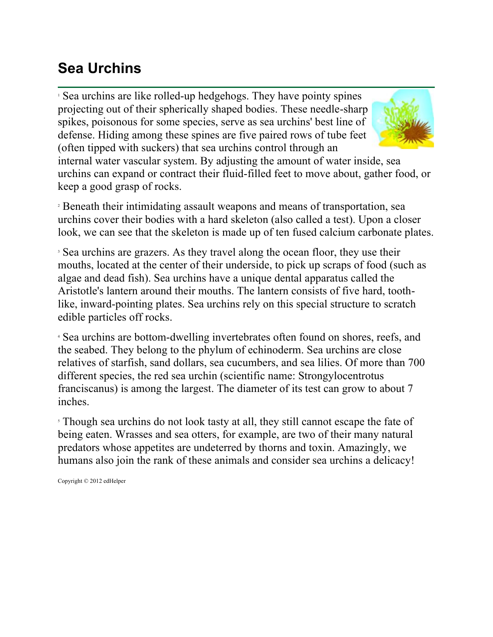## **Sea Urchins**

<sup>1</sup> Sea urchins are like rolled-up hedgehogs. They have pointy spines projecting out of their spherically shaped bodies. These needle-sharp spikes, poisonous for some species, serve as sea urchins' best line of defense. Hiding among these spines are five paired rows of tube feet (often tipped with suckers) that sea urchins control through an



internal water vascular system. By adjusting the amount of water inside, sea urchins can expand or contract their fluid-filled feet to move about, gather food, or keep a good grasp of rocks.

<sup>2</sup> Beneath their intimidating assault weapons and means of transportation, sea urchins cover their bodies with a hard skeleton (also called a test). Upon a closer look, we can see that the skeleton is made up of ten fused calcium carbonate plates.

<sup>3</sup> Sea urchins are grazers. As they travel along the ocean floor, they use their mouths, located at the center of their underside, to pick up scraps of food (such as algae and dead fish). Sea urchins have a unique dental apparatus called the Aristotle's lantern around their mouths. The lantern consists of five hard, toothlike, inward-pointing plates. Sea urchins rely on this special structure to scratch edible particles off rocks.

<sup>4</sup> Sea urchins are bottom-dwelling invertebrates often found on shores, reefs, and the seabed. They belong to the phylum of echinoderm. Sea urchins are close relatives of starfish, sand dollars, sea cucumbers, and sea lilies. Of more than 700 different species, the red sea urchin (scientific name: Strongylocentrotus franciscanus) is among the largest. The diameter of its test can grow to about 7 inches.

<sup>5</sup> Though sea urchins do not look tasty at all, they still cannot escape the fate of being eaten. Wrasses and sea otters, for example, are two of their many natural predators whose appetites are undeterred by thorns and toxin. Amazingly, we humans also join the rank of these animals and consider sea urchins a delicacy!

Copyright © 2012 edHelper